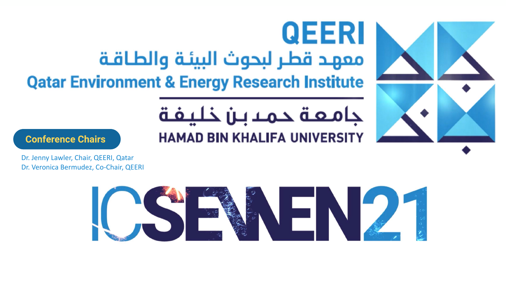# معهد قطر لبحوث البيئة والطاقة **Qatar Environment & Energy Research Institute**

### **Conference Chairs**

Dr. Jenny Lawler, Chair, QEERI, Qatar Dr. Veronica Bermudez, Co-Chair, QEERI



# QEERI

# جامعة حمد بـن خليفة **HAMAD BIN KHALIFA UNIVERSITY**





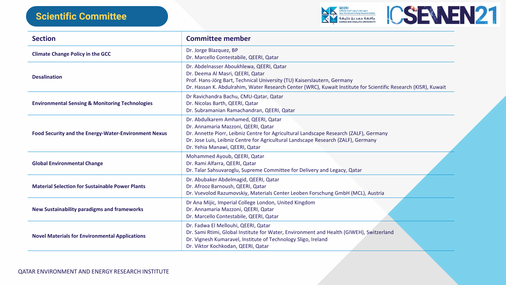



FU) Kaiserslautern, Germany Center (WRC), Kuwait Institute for Scientific Research (KISR), Kuwait

Iltural Landscape Research (ZALF), Germany Landscape Research (ZALF), Germany

e for Delivery and Legacy, Qatar

r Leoben Forschung GmbH (MCL), Austria

ed Kingdom

Environment and Health (GIWEH), Switzerland logy Sligo, Ireland

| <b>Section</b>                                              | <b>Committee member</b>                                                                                                                                                                                                |
|-------------------------------------------------------------|------------------------------------------------------------------------------------------------------------------------------------------------------------------------------------------------------------------------|
| <b>Climate Change Policy in the GCC</b>                     | Dr. Jorge Blazquez, BP<br>Dr. Marcello Contestabile, QEERI, Qatar                                                                                                                                                      |
| <b>Desalination</b>                                         | Dr. Abdelnasser Aboukhlewa, QEERI, Qatar<br>Dr. Deema Al Masri, QEERI, Qatar<br>Prof. Hans-Jörg Bart, Technical University (TU)<br>Dr. Hassan K. Abdulrahim, Water Research Cer                                        |
| <b>Environmental Sensing &amp; Monitoring Technologies</b>  | Dr Ravichandra Bachu, CMU-Qatar, Qatar<br>Dr. Nicolas Barth, QEERI, Qatar<br>Dr. Subramanian Ramachandran, QEERI, Qatar                                                                                                |
| <b>Food Security and the Energy-Water-Environment Nexus</b> | Dr. Abdulkarem Amhamed, QEERI, Qatar<br>Dr. Annamaria Mazzoni, QEERI, Qatar<br>Dr. Annette Piorr, Leibniz Centre for Agricultur<br>Dr. Jose Luis, Leibniz Centre for Agricultural La<br>Dr. Yehia Manawi, QEERI, Qatar |
| <b>Global Environmental Change</b>                          | Mohammed Ayoub, QEERI, Qatar<br>Dr. Rami Alfarra, QEERI, Qatar<br>Dr. Talar Sahsuvaroglu, Supreme Committee fo                                                                                                         |
| <b>Material Selection for Sustainable Power Plants</b>      | Dr. Abubaker Abdelmagid, QEERI, Qatar<br>Dr. Afrooz Barnoush, QEERI, Qatar<br>Dr. Vsevolod Razumovskiy, Materials Center Le                                                                                            |
| <b>New Sustainability paradigms and frameworks</b>          | Dr Ana Mijic, Imperial College London, United<br>Dr. Annamaria Mazzoni, QEERI, Qatar<br>Dr. Marcello Contestabile, QEERI, Qatar                                                                                        |
| <b>Novel Materials for Environmental Applications</b>       | Dr. Fadwa El Mellouhi, QEERI, Qatar<br>Dr. Sami Rtimi, Global Institute for Water, Envi<br>Dr. Vignesh Kumaravel, Institute of Technology<br>Dr. Viktor Kochkodan, QEERI, Qatar                                        |

# **Scientific Committee**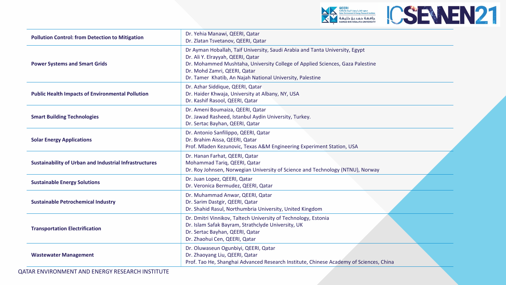### QATAR ENVIRONMENT AND ENERGY RESEARCH INSTITUTE





Arabia and Tanta University, Egypt

ege of Applied Sciences, Gaza Palestine

rsity, Palestine

ty, Turkey.

Pering Experiment Station, USA

**Dr.** Roy Iohnsen, Norway (NTNU), Norway

Jnited Kingdom

echnology, Estonia sity, UK

Institute, Chinese Academy of Sciences, China

| <b>Pollution Control: from Detection to Mitigation</b>        | Dr. Yehia Manawi, QEERI, Qatar<br>Dr. Zlatan Tsvetanov, QEERI, Qatar                                                                                                                                                     |
|---------------------------------------------------------------|--------------------------------------------------------------------------------------------------------------------------------------------------------------------------------------------------------------------------|
| <b>Power Systems and Smart Grids</b>                          | Dr Ayman Hoballah, Taif University, Saudi Arabia<br>Dr. Ali Y. Elrayyah, QEERI, Qatar<br>Dr. Mohammed Mushtaha, University College of<br>Dr. Mohd Zamri, QEERI, Qatar<br>Dr. Tamer Khatib, An Najah National University, |
| <b>Public Health Impacts of Environmental Pollution</b>       | Dr. Azhar Siddique, QEERI, Qatar<br>Dr. Haider Khwaja, University at Albany, NY, USA<br>Dr. Kashif Rasool, QEERI, Qatar                                                                                                  |
| <b>Smart Building Technologies</b>                            | Dr. Ameni Boumaiza, QEERI, Qatar<br>Dr. Jawad Rasheed, Istanbul Aydin University, Tur<br>Dr. Sertac Bayhan, QEERI, Qatar                                                                                                 |
| <b>Solar Energy Applications</b>                              | Dr. Antonio Sanfilippo, QEERI, Qatar<br>Dr. Brahim Aissa, QEERI, Qatar<br>Prof. Mladen Kezunovic, Texas A&M Engineering                                                                                                  |
| <b>Sustainability of Urban and Industrial Infrastructures</b> | Dr. Hanan Farhat, QEERI, Qatar<br>Mohammad Tariq, QEERI, Qatar<br>Dr. Roy Johnsen, Norwegian University of Science                                                                                                       |
| <b>Sustainable Energy Solutions</b>                           | Dr. Juan Lopez, QEERI, Qatar<br>Dr. Veronica Bermudez, QEERI, Qatar                                                                                                                                                      |
| <b>Sustainable Petrochemical Industry</b>                     | Dr. Muhammad Anwar, QEERI, Qatar<br>Dr. Sarim Dastgir, QEERI, Qatar<br>Dr. Shahid Rasul, Northumbria University, United                                                                                                  |
| <b>Transportation Electrification</b>                         | Dr. Dmitri Vinnikov, Taltech University of Technol<br>Dr. Islam Safak Bayram, Strathclyde University, U<br>Dr. Sertac Bayhan, QEERI, Qatar<br>Dr. Zhaohui Cen, QEERI, Qatar                                              |
| <b>Wastewater Management</b>                                  | Dr. Oluwaseun Ogunbiyi, QEERI, Qatar<br>Dr. Zhaoyang Liu, QEERI, Qatar<br>Prof. Tao He, Shanghai Advanced Research Institu                                                                                               |